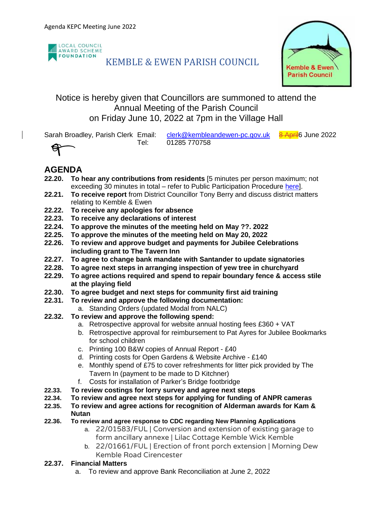

# KEMBLE & EWEN PARISH COUNCIL



## Notice is hereby given that Councillors are summoned to attend the Annual Meeting of the Parish Council on Friday June 10, 2022 at 7pm in the Village Hall

Sarah Broadley, Parish Clerk Email: [clerk@kembleandewen-pc.gov.uk](mailto:clerk@kembleandewen-pc.gov.uk) 8 April 6 June 2022 Tel: 01285 770758



## **AGENDA**

- **22.20. To hear any contributions from residents** [5 minutes per person maximum; not exceeding 30 minutes in total – refer to Public Participation Procedure [here\]](https://kembleandewen-pc.gov.uk/wp-content/uploads/2021/02/Public-Participation-at-Parish-Council-Meetings.pdf).
- **22.21. To receive report** from District Councillor Tony Berry and discuss district matters relating to Kemble & Ewen
- **22.22. To receive any apologies for absence**
- **22.23. To receive any declarations of interest**
- **22.24. To approve the minutes of the meeting held on May ??. 2022**
- **22.25. To approve the minutes of the meeting held on May 20, 2022**
- **22.26. To review and approve budget and payments for Jubilee Celebrations including grant to The Tavern Inn**
- **22.27. To agree to change bank mandate with Santander to update signatories**
- **22.28. To agree next steps in arranging inspection of yew tree in churchyard**
- **22.29. To agree actions required and spend to repair boundary fence & access stile at the playing field**
- **22.30. To agree budget and next steps for community first aid training**
- **22.31. To review and approve the following documentation:**
	- a. Standing Orders (updated Modal from NALC)
- **22.32. To review and approve the following spend:**
	- a. Retrospective approval for website annual hosting fees £360 + VAT
	- b. Retrospective approval for reimbursement to Pat Ayres for Jubilee Bookmarks for school children
	- c. Printing 100 B&W copies of Annual Report £40
	- d. Printing costs for Open Gardens & Website Archive £140
	- e. Monthly spend of £75 to cover refreshments for litter pick provided by The Tavern In (payment to be made to D Kitchner)
	- f. Costs for installation of Parker's Bridge footbridge
- **22.33. To review costings for lorry survey and agree next steps**
- **22.34. To review and agree next steps for applying for funding of ANPR cameras**
- **22.35. To review and agree actions for recognition of Alderman awards for Kam & Nutan**
- **22.36. To review and agree response to CDC regarding New Planning Applications**
	- a. 22/01583/FUL | Conversion and extension of existing garage to form ancillary annexe | Lilac Cottage Kemble Wick Kemble
	- b. 22/01661/FUL | Erection of front porch extension | Morning Dew Kemble Road Cirencester

### **22.37. Financial Matters**

a. To review and approve Bank Reconciliation at June 2, 2022